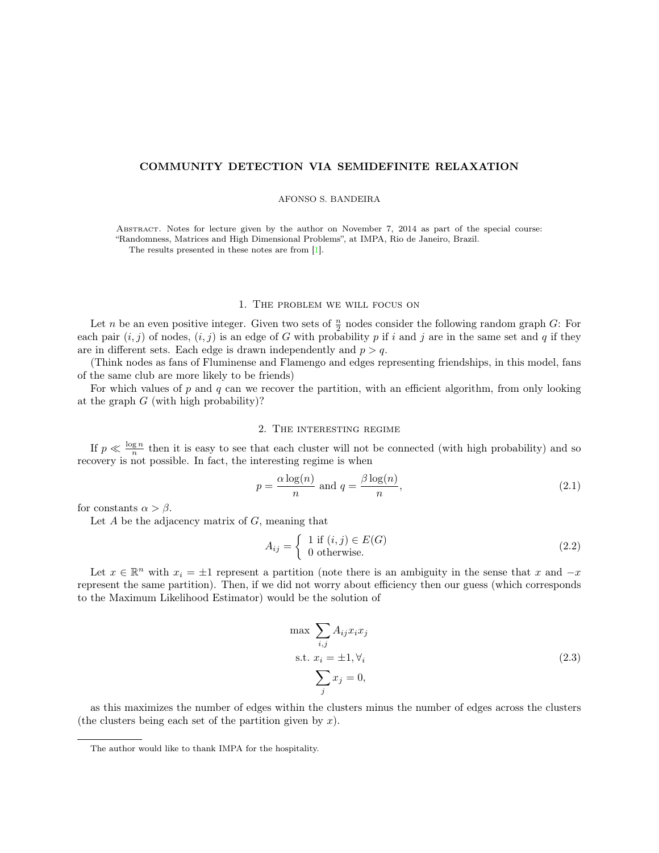# COMMUNITY DETECTION VIA SEMIDEFINITE RELAXATION

#### AFONSO S. BANDEIRA

ABSTRACT. Notes for lecture given by the author on November 7, 2014 as part of the special course: "Randomness, Matrices and High Dimensional Problems", at IMPA, Rio de Janeiro, Brazil.

The results presented in these notes are from [\[1\]](#page-4-0).

### 1. The problem we will focus on

Let *n* be an even positive integer. Given two sets of  $\frac{n}{2}$  nodes consider the following random graph *G*: For each pair  $(i, j)$  of nodes,  $(i, j)$  is an edge of G with probability p if i and j are in the same set and q if they are in different sets. Each edge is drawn independently and  $p > q$ .

(Think nodes as fans of Fluminense and Flamengo and edges representing friendships, in this model, fans of the same club are more likely to be friends)

For which values of  $p$  and  $q$  can we recover the partition, with an efficient algorithm, from only looking at the graph  $G$  (with high probability)?

## 2. The interesting regime

If  $p \ll \frac{\log n}{n}$  then it is easy to see that each cluster will not be connected (with high probability) and so recovery is not possible. In fact, the interesting regime is when

$$
p = \frac{\alpha \log(n)}{n} \text{ and } q = \frac{\beta \log(n)}{n},\tag{2.1}
$$

for constants  $\alpha > \beta$ .

Let  $A$  be the adjacency matrix of  $G$ , meaning that

$$
A_{ij} = \begin{cases} 1 \text{ if } (i,j) \in E(G) \\ 0 \text{ otherwise.} \end{cases}
$$
 (2.2)

Let  $x \in \mathbb{R}^n$  with  $x_i = \pm 1$  represent a partition (note there is an ambiguity in the sense that x and  $-x$ ) represent the same partition). Then, if we did not worry about efficiency then our guess (which corresponds to the Maximum Likelihood Estimator) would be the solution of

<span id="page-0-0"></span>
$$
\max \sum_{i,j} A_{ij} x_i x_j
$$
  
s.t.  $x_i = \pm 1, \forall i$   

$$
\sum_j x_j = 0,
$$
 (2.3)

as this maximizes the number of edges within the clusters minus the number of edges across the clusters (the clusters being each set of the partition given by  $x$ ).

The author would like to thank IMPA for the hospitality.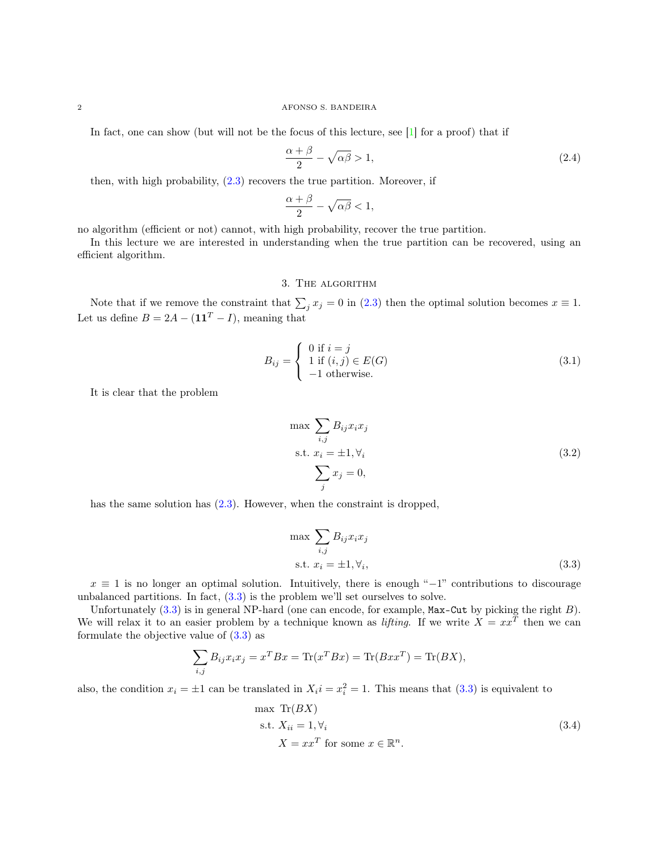#### 2 AFONSO S. BANDEIRA

In fact, one can show (but will not be the focus of this lecture, see  $[1]$  for a proof) that if

<span id="page-1-1"></span>
$$
\frac{\alpha + \beta}{2} - \sqrt{\alpha \beta} > 1,\tag{2.4}
$$

then, with high probability,  $(2.3)$  recovers the true partition. Moreover, if

$$
\frac{\alpha+\beta}{2}-\sqrt{\alpha\beta}<1,
$$

no algorithm (efficient or not) cannot, with high probability, recover the true partition.

In this lecture we are interested in understanding when the true partition can be recovered, using an efficient algorithm.

3. The algorithm

Note that if we remove the constraint that  $\sum_j x_j = 0$  in [\(2.3\)](#page-0-0) then the optimal solution becomes  $x \equiv 1$ . Let us define  $B = 2A - (\mathbf{1}\mathbf{1}^T - I)$ , meaning that

$$
B_{ij} = \begin{cases} 0 \text{ if } i = j \\ 1 \text{ if } (i, j) \in E(G) \\ -1 \text{ otherwise.} \end{cases}
$$
 (3.1)

It is clear that the problem

$$
\max \sum_{i,j} B_{ij} x_i x_j
$$
  
s.t.  $x_i = \pm 1, \forall i$   

$$
\sum_j x_j = 0,
$$
 (3.2)

has the same solution has  $(2.3)$ . However, when the constraint is dropped,

<span id="page-1-0"></span>
$$
\max \sum_{i,j} B_{ij} x_i x_j
$$
  
s.t.  $x_i = \pm 1, \forall i$ , (3.3)

 $x \equiv 1$  is no longer an optimal solution. Intuitively, there is enough " $-1$ " contributions to discourage unbalanced partitions. In fact,  $(3.3)$  is the problem we'll set ourselves to solve.

Unfortunately  $(3.3)$  is in general NP-hard (one can encode, for example, Max-Cut by picking the right  $B$ ). We will relax it to an easier problem by a technique known as lifting. If we write  $X = xx^T$  then we can formulate the objective value of  $(3.3)$  as

$$
\sum_{i,j} B_{ij} x_i x_j = x^T B x = \text{Tr}(x^T B x) = \text{Tr}(B x x^T) = \text{Tr}(B X),
$$

also, the condition  $x_i = \pm 1$  can be translated in  $X_i = x_i^2 = 1$ . This means that [\(3.3\)](#page-1-0) is equivalent to

max Tr(BX)  
s.t. 
$$
X_{ii} = 1, \forall i
$$
  
 $X = xx^T$  for some  $x \in \mathbb{R}^n$ . (3.4)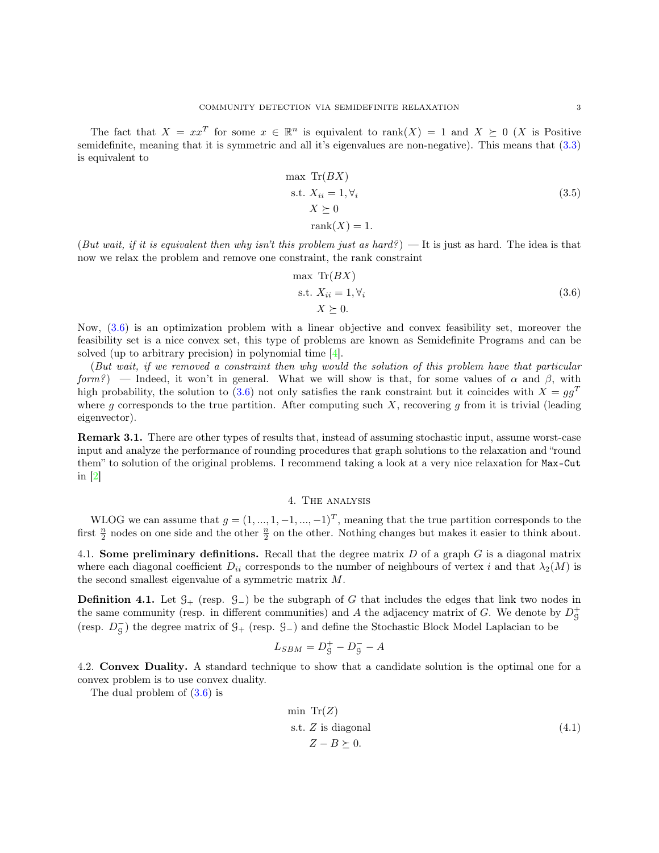The fact that  $X = xx^T$  for some  $x \in \mathbb{R}^n$  is equivalent to rank $(X) = 1$  and  $X \succeq 0$  (X is Positive semidefinite, meaning that it is symmetric and all it's eigenvalues are non-negative). This means that  $(3.3)$ is equivalent to

$$
\max \operatorname{Tr}(BX) \n\text{s.t. } X_{ii} = 1, \forall i \n\begin{aligned}\nX \succeq 0 \n\t\operatorname{rank}(X) = 1.\n\end{aligned}
$$
\n(3.5)

(But wait, if it is equivalent then why isn't this problem just as hard?) — It is just as hard. The idea is that now we relax the problem and remove one constraint, the rank constraint

<span id="page-2-0"></span>
$$
\max \text{Tr}(BX) \n\text{s.t. } X_{ii} = 1, \forall i \n\qquad \qquad X \succeq 0.
$$
\n(3.6)

Now, [\(3.6\)](#page-2-0) is an optimization problem with a linear objective and convex feasibility set, moreover the feasibility set is a nice convex set, this type of problems are known as Semidefinite Programs and can be solved (up to arbitrary precision) in polynomial time [\[4\]](#page-4-1).

(But wait, if we removed a constraint then why would the solution of this problem have that particular form?) — Indeed, it won't in general. What we will show is that, for some values of  $\alpha$  and  $\beta$ , with high probability, the solution to [\(3.6\)](#page-2-0) not only satisfies the rank constraint but it coincides with  $X = gg<sup>T</sup>$ where g corresponds to the true partition. After computing such X, recovering g from it is trivial (leading eigenvector).

Remark 3.1. There are other types of results that, instead of assuming stochastic input, assume worst-case input and analyze the performance of rounding procedures that graph solutions to the relaxation and "round them" to solution of the original problems. I recommend taking a look at a very nice relaxation for Max-Cut in  $|2|$ 

# 4. The analysis

WLOG we can assume that  $g = (1, ..., 1, -1, ..., -1)^T$ , meaning that the true partition corresponds to the first  $\frac{n}{2}$  nodes on one side and the other  $\frac{n}{2}$  on the other. Nothing changes but makes it easier to think about.

4.1. Some preliminary definitions. Recall that the degree matrix  $D$  of a graph  $G$  is a diagonal matrix where each diagonal coefficient  $D_{ii}$  corresponds to the number of neighbours of vertex i and that  $\lambda_2(M)$  is the second smallest eigenvalue of a symmetric matrix M.

**Definition 4.1.** Let  $\mathcal{G}_+$  (resp.  $\mathcal{G}_-$ ) be the subgraph of G that includes the edges that link two nodes in the same community (resp. in different communities) and A the adjacency matrix of G. We denote by  $D_{\mathcal{G}}^{+}$ (resp.  $D_{\mathcal{G}}^-$ ) the degree matrix of  $\mathcal{G}_+$  (resp.  $\mathcal{G}_-$ ) and define the Stochastic Block Model Laplacian to be

$$
L_{SBM} = D^+_9 - D^-_9 - A
$$

4.2. Convex Duality. A standard technique to show that a candidate solution is the optimal one for a convex problem is to use convex duality.

The dual problem of [\(3.6\)](#page-2-0) is

<span id="page-2-1"></span>
$$
\begin{aligned}\n\min \, \, \text{Tr}(Z) \\
\text{s.t. } Z \text{ is diagonal} \\
Z - B \succeq 0.\n\end{aligned} \tag{4.1}
$$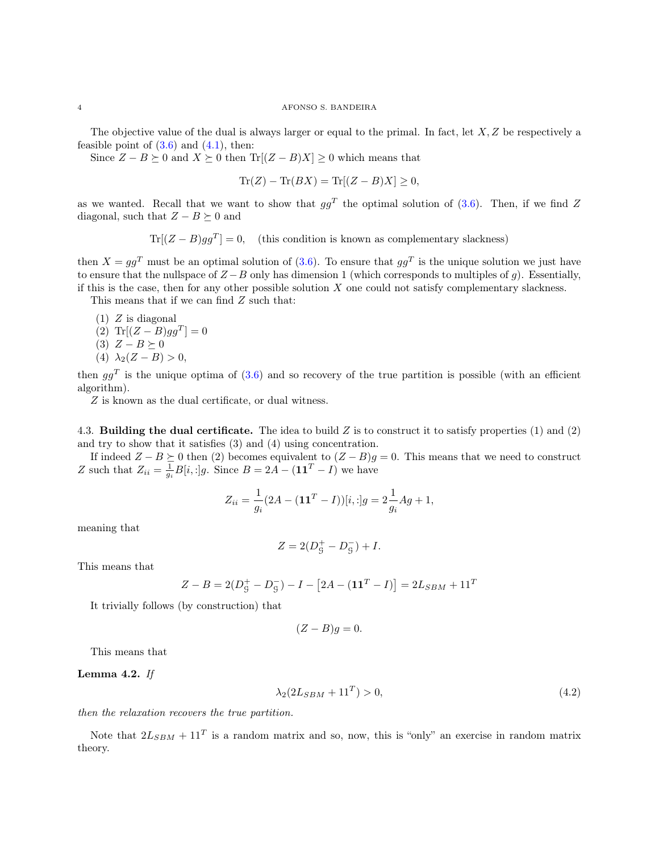#### 4 AFONSO S. BANDEIRA

The objective value of the dual is always larger or equal to the primal. In fact, let  $X, Z$  be respectively a feasible point of  $(3.6)$  and  $(4.1)$ , then:

Since  $Z - B \succeq 0$  and  $X \succeq 0$  then Tr[ $(Z - B)X$ ] ≥ 0 which means that

$$
\operatorname{Tr}(Z) - \operatorname{Tr}(BX) = \operatorname{Tr}[(Z - B)X] \ge 0,
$$

as we wanted. Recall that we want to show that  $gg<sup>T</sup>$  the optimal solution of [\(3.6\)](#page-2-0). Then, if we find Z diagonal, such that  $Z - B \succeq 0$  and

 $Tr[(Z - B)gg^T] = 0$ , (this condition is known as complementary slackness)

then  $X = gg^T$  must be an optimal solution of [\(3.6\)](#page-2-0). To ensure that  $gg^T$  is the unique solution we just have to ensure that the nullspace of  $Z - B$  only has dimension 1 (which corresponds to multiples of g). Essentially, if this is the case, then for any other possible solution  $X$  one could not satisfy complementary slackness.

This means that if we can find Z such that:

 $(1)$  Z is diagonal (2)  $\text{Tr}[(Z-B)gg^T]=0$ (3)  $Z - B \succeq 0$ (4)  $\lambda_2(Z - B) > 0$ ,

then  $gg<sup>T</sup>$  is the unique optima of [\(3.6\)](#page-2-0) and so recovery of the true partition is possible (with an efficient algorithm).

Z is known as the dual certificate, or dual witness.

4.3. Building the dual certificate. The idea to build  $Z$  is to construct it to satisfy properties (1) and (2) and try to show that it satisfies (3) and (4) using concentration.

If indeed  $Z - B \succeq 0$  then (2) becomes equivalent to  $(Z - B)g = 0$ . This means that we need to construct Z such that  $Z_{ii} = \frac{1}{g_i} B[i, :]g$ . Since  $B = 2A - (\mathbf{1}\mathbf{1}^T - I)$  we have

$$
Z_{ii} = \frac{1}{g_i}(2A - (\mathbf{1}\mathbf{1}^T - I))[i, :]g = 2\frac{1}{g_i}Ag + 1,
$$

meaning that

$$
Z=2(D^+_{{\mathcal{G}}} -D^-_{{\mathcal{G}}})+I.
$$

This means that

$$
Z - B = 2(D_{g}^{+} - D_{g}^{-}) - I - [2A - (\mathbf{1}\mathbf{1}^{T} - I)] = 2L_{SBM} + 11^{T}
$$

It trivially follows (by construction) that

$$
(Z - B)g = 0.
$$

This means that

Lemma 4.2. If

$$
\lambda_2(2L_{SBM} + 11^T) > 0,\t\t(4.2)
$$

then the relaxation recovers the true partition.

Note that  $2L_{SBM} + 11^{T}$  is a random matrix and so, now, this is "only" an exercise in random matrix theory.